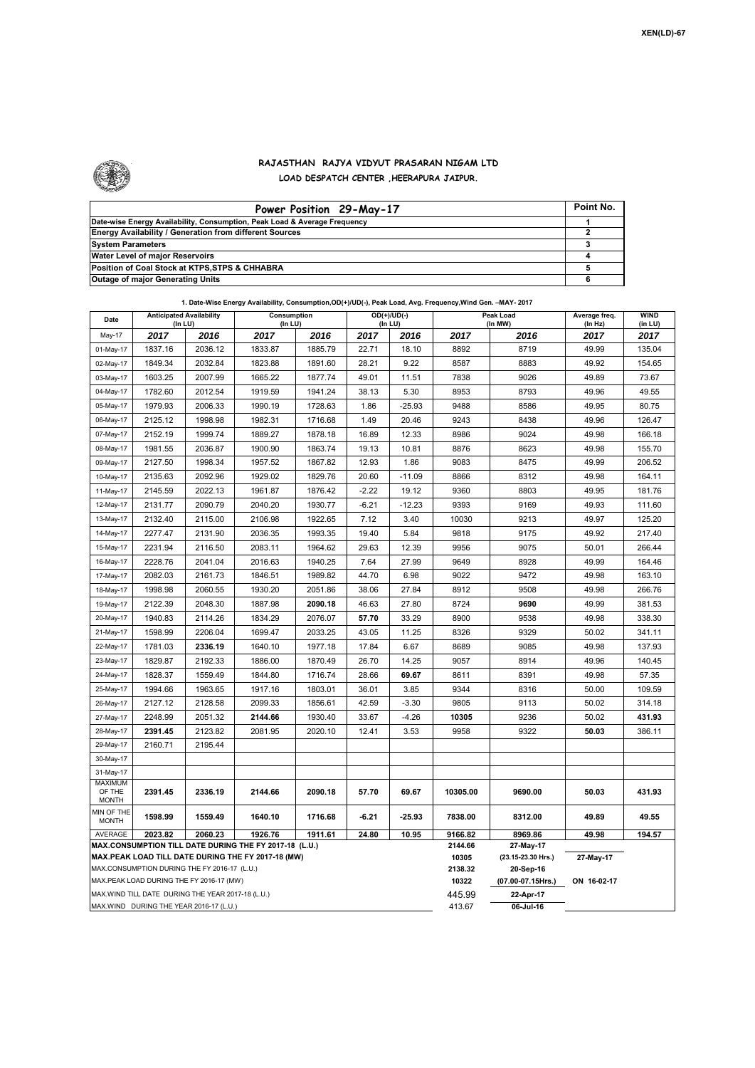

## **RAJASTHAN RAJYA VIDYUT PRASARAN NIGAM LTD LOAD DESPATCH CENTER ,HEERAPURA JAIPUR.**

| Power Position 29-May-17                                                  | Point No. |
|---------------------------------------------------------------------------|-----------|
| Date-wise Energy Availability, Consumption, Peak Load & Average Frequency |           |
| <b>Energy Availability / Generation from different Sources</b>            |           |
| <b>System Parameters</b>                                                  |           |
| Water Level of major Reservoirs                                           |           |
| Position of Coal Stock at KTPS, STPS & CHHABRA                            |           |
| <b>Outage of major Generating Units</b>                                   |           |

|  |  | 1. Date-Wise Energy Availability, Consumption,OD(+)/UD(-), Peak Load, Avg. Frequency,Wind Gen. -MAY- 2017 |
|--|--|-----------------------------------------------------------------------------------------------------------|
|--|--|-----------------------------------------------------------------------------------------------------------|

| Date                              | <b>Anticipated Availability</b><br>(In LU)        |         | Consumption<br>(In LU)                                                                                       |                  |                                 | $OD(+)/UD(-)$<br>(In LU) |             | Peak Load<br>(In MW) | Average freq.<br>(In Hz) | <b>WIND</b><br>(in LU) |
|-----------------------------------|---------------------------------------------------|---------|--------------------------------------------------------------------------------------------------------------|------------------|---------------------------------|--------------------------|-------------|----------------------|--------------------------|------------------------|
| May-17                            | 2017                                              | 2016    | 2017                                                                                                         | 2016             | 2017                            | 2016                     | 2017        | 2016                 | 2017                     | 2017                   |
| 01-May-17                         | 1837.16                                           | 2036.12 | 1833.87                                                                                                      | 1885.79          | 22.71                           | 18.10                    | 8892        | 8719                 | 49.99                    | 135.04                 |
| 02-May-17                         | 1849.34                                           | 2032.84 | 1823.88                                                                                                      | 1891.60          | 28.21                           | 9.22                     | 8587        | 8883                 | 49.92                    | 154.65                 |
| 03-May-17                         | 1603.25                                           | 2007.99 | 1665.22                                                                                                      | 1877.74          | 49.01                           | 11.51                    | 7838        | 9026                 | 49.89                    | 73.67                  |
| 04-May-17                         | 1782.60                                           | 2012.54 | 1919.59                                                                                                      | 1941.24          | 38.13                           | 5.30                     | 8953        | 8793                 | 49.96                    | 49.55                  |
| 05-May-17                         | 1979.93                                           | 2006.33 | 1990.19                                                                                                      | 1728.63          | 1.86                            | $-25.93$                 | 9488        | 8586                 | 49.95                    | 80.75                  |
| 06-May-17                         | 2125.12                                           | 1998.98 | 1982.31                                                                                                      | 1716.68          | 1.49                            | 20.46                    | 9243        | 8438                 | 49.96                    | 126.47                 |
| 07-May-17                         | 2152.19                                           | 1999.74 | 1889.27                                                                                                      | 1878.18          | 16.89                           | 12.33                    | 8986        | 9024                 | 49.98                    | 166.18                 |
| 08-May-17                         | 1981.55                                           | 2036.87 | 1900.90                                                                                                      | 1863.74          | 19.13                           | 10.81                    | 8876        | 8623                 | 49.98                    | 155.70                 |
| 09-May-17                         | 2127.50                                           | 1998.34 | 1957.52                                                                                                      | 1867.82          | 12.93                           | 1.86                     | 9083        | 8475                 | 49.99                    | 206.52                 |
| 10-May-17                         | 2135.63                                           | 2092.96 | 1929.02                                                                                                      | 1829.76          | 20.60                           | $-11.09$                 | 8866        | 8312                 | 49.98                    | 164.11                 |
| 11-May-17                         | 2145.59                                           | 2022.13 | 1961.87                                                                                                      | 1876.42          | $-2.22$                         | 19.12                    | 9360        | 8803                 | 49.95                    | 181.76                 |
| 12-May-17                         | 2131.77                                           | 2090.79 | 2040.20                                                                                                      | 1930.77          | $-6.21$                         | $-12.23$                 | 9393        | 9169                 | 49.93                    | 111.60                 |
| 13-May-17                         | 2132.40                                           | 2115.00 | 2106.98                                                                                                      | 1922.65          | 7.12                            | 3.40                     | 10030       | 9213                 | 49.97                    | 125.20                 |
| 14-May-17                         | 2277.47                                           | 2131.90 | 2036.35                                                                                                      | 1993.35          | 19.40                           | 5.84                     | 9818        | 9175                 | 49.92                    | 217.40                 |
| 15-May-17                         | 2231.94                                           | 2116.50 | 2083.11                                                                                                      | 1964.62          | 29.63                           | 12.39                    | 9956        | 9075                 | 50.01                    | 266.44                 |
| 16-May-17                         | 2228.76                                           | 2041.04 | 2016.63                                                                                                      | 1940.25          | 7.64                            | 27.99                    | 9649        | 8928                 | 49.99                    | 164.46                 |
| 17-May-17                         | 2082.03                                           | 2161.73 | 1846.51                                                                                                      | 1989.82          | 44.70                           | 6.98                     | 9022        | 9472                 | 49.98                    | 163.10                 |
| 18-May-17                         | 1998.98                                           | 2060.55 | 1930.20                                                                                                      | 2051.86          | 38.06                           | 27.84                    | 8912        | 9508                 | 49.98                    | 266.76                 |
| 19-May-17                         | 2122.39                                           | 2048.30 | 1887.98                                                                                                      | 2090.18          | 46.63                           | 27.80                    | 8724        | 9690                 | 49.99                    | 381.53                 |
| 20-May-17                         | 1940.83                                           | 2114.26 | 1834.29                                                                                                      | 2076.07          | 57.70                           | 33.29                    | 8900        | 9538                 | 49.98                    | 338.30                 |
| 21-May-17                         | 1598.99                                           | 2206.04 | 1699.47                                                                                                      | 2033.25          | 43.05                           | 11.25                    | 8326        | 9329                 | 50.02                    | 341.11                 |
| 22-May-17                         | 1781.03                                           | 2336.19 | 1640.10                                                                                                      | 1977.18          | 17.84                           | 6.67                     | 8689        | 9085                 | 49.98                    | 137.93                 |
| 23-May-17                         | 1829.87                                           | 2192.33 | 1886.00                                                                                                      | 1870.49          | 26.70                           | 14.25                    | 9057        | 8914                 | 49.96                    | 140.45                 |
| 24-May-17                         | 1828.37                                           | 1559.49 | 1844.80                                                                                                      | 1716.74          | 28.66                           | 69.67                    | 8611        | 8391                 | 49.98                    | 57.35                  |
| 25-May-17                         | 1994.66                                           | 1963.65 | 1917.16                                                                                                      | 1803.01          | 36.01                           | 3.85                     | 9344        | 8316                 | 50.00                    | 109.59                 |
| 26-May-17                         | 2127.12                                           | 2128.58 | 2099.33                                                                                                      | 1856.61          | 42.59                           | $-3.30$                  | 9805        | 9113                 | 50.02                    | 314.18                 |
| 27-May-17                         | 2248.99                                           | 2051.32 | 2144.66                                                                                                      | 1930.40          | 33.67                           | $-4.26$                  | 10305       | 9236                 | 50.02                    | 431.93                 |
| 28-May-17                         | 2391.45                                           | 2123.82 | 2081.95                                                                                                      | 2020.10          | 12.41                           | 3.53                     | 9958        | 9322                 | 50.03                    | 386.11                 |
| 29-May-17                         | 2160.71                                           | 2195.44 |                                                                                                              |                  |                                 |                          |             |                      |                          |                        |
| 30-May-17                         |                                                   |         |                                                                                                              |                  |                                 |                          |             |                      |                          |                        |
| 31-May-17                         |                                                   |         |                                                                                                              |                  |                                 |                          |             |                      |                          |                        |
| MAXIMUM<br>OF THE<br><b>MONTH</b> | 2391.45                                           | 2336.19 | 2144.66                                                                                                      | 2090.18          | 57.70                           | 69.67                    | 10305.00    | 9690.00              | 50.03                    | 431.93                 |
| MIN OF THE<br><b>MONTH</b>        | 1598.99                                           | 1559.49 | 1640.10                                                                                                      | 1716.68          | -6.21                           | $-25.93$                 | 7838.00     | 8312.00              | 49.89                    | 49.55                  |
| AVERAGE                           | 2023.82                                           | 2060.23 | 1926.76                                                                                                      | 1911.61          | 24.80                           | 10.95                    | 9166.82     | 8969.86              | 49.98                    | 194.57                 |
|                                   |                                                   |         | MAX.CONSUMPTION TILL DATE DURING THE FY 2017-18 (L.U.)<br>MAX.PEAK LOAD TILL DATE DURING THE FY 2017-18 (MW) | 2144.66<br>10305 | 27-May-17<br>(23.15-23.30 Hrs.) | 27-May-17                |             |                      |                          |                        |
|                                   | MAX.CONSUMPTION DURING THE FY 2016-17 (L.U.)      |         |                                                                                                              | 2138.32          | 20-Sep-16                       |                          |             |                      |                          |                        |
|                                   | MAX.PEAK LOAD DURING THE FY 2016-17 (MW)          |         |                                                                                                              |                  | 10322                           | (07.00-07.15Hrs.)        | ON 16-02-17 |                      |                          |                        |
|                                   | MAX.WIND TILL DATE DURING THE YEAR 2017-18 (L.U.) |         |                                                                                                              | 445.99           | 22-Apr-17                       |                          |             |                      |                          |                        |
|                                   | MAX.WIND DURING THE YEAR 2016-17 (L.U.)           |         |                                                                                                              | 413.67           | 06-Jul-16                       |                          |             |                      |                          |                        |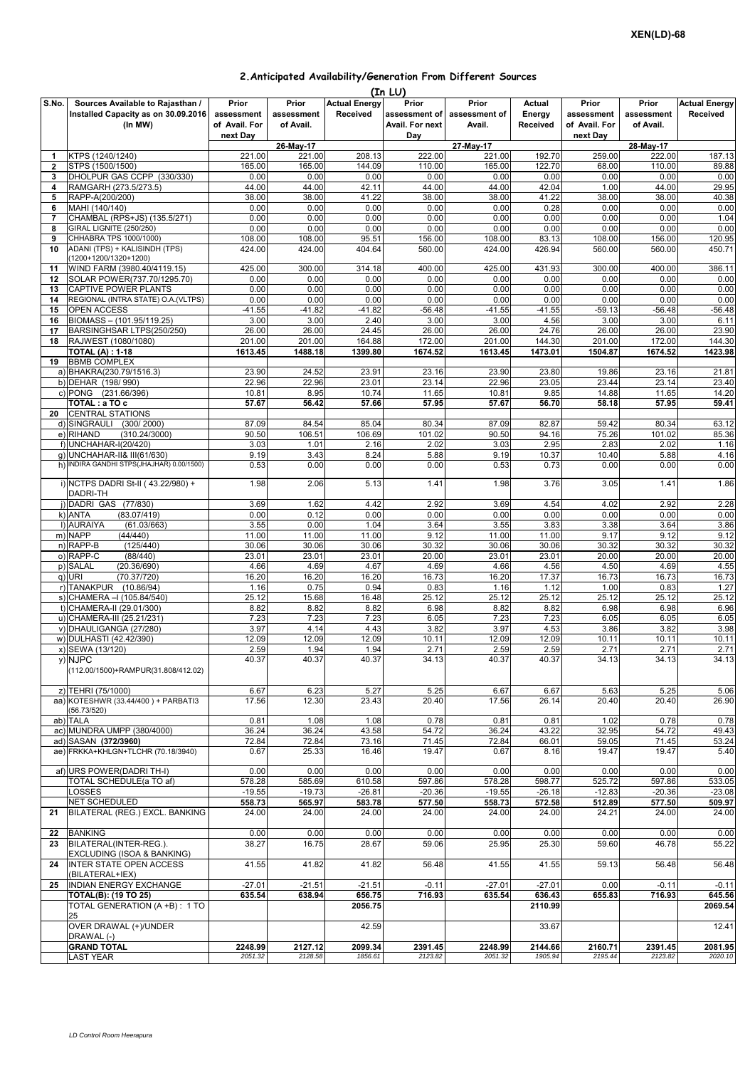## **2.Anticipated Availability/Generation From Different Sources**

|                |                                                                                    |                                      |                                  |                                  | (In LU)                                   |                                  |                              |                                      |                                  |                                  |
|----------------|------------------------------------------------------------------------------------|--------------------------------------|----------------------------------|----------------------------------|-------------------------------------------|----------------------------------|------------------------------|--------------------------------------|----------------------------------|----------------------------------|
| S.No.          | Sources Available to Rajasthan /<br>Installed Capacity as on 30.09.2016<br>(In MW) | Prior<br>assessment<br>of Avail. For | Prior<br>assessment<br>of Avail. | <b>Actual Energy</b><br>Received | Prior<br>assessment of<br>Avail. For next | Prior<br>assessment of<br>Avail. | Actual<br>Energy<br>Received | Prior<br>assessment<br>of Avail. For | Prior<br>assessment<br>of Avail. | <b>Actual Energy</b><br>Received |
|                |                                                                                    | next Day                             | 26-May-17                        |                                  | Day                                       | 27-May-17                        |                              | next Day                             | 28-May-17                        |                                  |
| 1              | KTPS (1240/1240)                                                                   | 221.00                               | 221.00                           | 208.13                           | 222.00                                    | 221.00                           | 192.70                       | 259.00                               | 222.00                           | 187.13                           |
| $\overline{2}$ | STPS (1500/1500)                                                                   | 165.00                               | 165.00                           | 144.09                           | 110.00                                    | 165.00                           | 122.70                       | 68.00                                | 110.00                           | 89.88                            |
| 3              | DHOLPUR GAS CCPP (330/330)                                                         | 0.00                                 | 0.00                             | 0.00                             | 0.00                                      | 0.00                             | 0.00                         | 0.00                                 | 0.00                             | 0.00                             |
| 4              | RAMGARH (273.5/273.5)                                                              | 44.00                                | 44.00                            | 42.11                            | 44.00                                     | 44.00                            | 42.04                        | 1.00                                 | 44.00                            | 29.95                            |
| 5              | RAPP-A(200/200)                                                                    | 38.00                                | 38.00                            | 41.22                            | 38.00                                     | 38.00                            | 41.22                        | 38.00                                | 38.00                            | 40.38                            |
| 6<br>7         | MAHI (140/140)<br>CHAMBAL (RPS+JS) (135.5/271)                                     | 0.00<br>0.00                         | 0.00<br>0.00                     | 0.00<br>0.00                     | 0.00<br>0.00                              | 0.00<br>0.00                     | 0.28<br>0.00                 | 0.00<br>0.00                         | 0.00<br>0.00                     | 0.00<br>1.04                     |
| 8              | GIRAL LIGNITE (250/250)                                                            | 0.00                                 | 0.00                             | 0.00                             | 0.00                                      | 0.00                             | 0.00                         | 0.00                                 | 0.00                             | 0.00                             |
| 9              | CHHABRA TPS 1000/1000)                                                             | 108.00                               | 108.00                           | 95.51                            | 156.00                                    | 108.00                           | 83.13                        | 108.00                               | 156.00                           | 120.95                           |
| 10             | ADANI (TPS) + KALISINDH (TPS)<br>(1200+1200/1320+1200)                             | 424.00                               | 424.00                           | 404.64                           | 560.00                                    | 424.00                           | 426.94                       | 560.00                               | 560.00                           | 450.71                           |
| 11             | WIND FARM (3980.40/4119.15)                                                        | 425.00                               | 300.00                           | 314.18                           | 400.00                                    | 425.00                           | 431.93                       | 300.00                               | 400.00                           | 386.11                           |
| 12             | SOLAR POWER(737.70/1295.70)                                                        | 0.00                                 | 0.00                             | 0.00                             | 0.00                                      | 0.00                             | 0.00                         | 0.00                                 | 0.00                             | 0.00                             |
| 13<br>14       | CAPTIVE POWER PLANTS<br>REGIONAL (INTRA STATE) O.A. (VLTPS)                        | 0.00<br>0.00                         | 0.00<br>0.00                     | 0.00<br>0.00                     | 0.00<br>0.00                              | 0.00<br>0.00                     | 0.00<br>0.00                 | 0.00<br>0.00                         | 0.00<br>0.00                     | 0.00<br>0.00                     |
| 15             | <b>OPEN ACCESS</b>                                                                 | $-41.55$                             | $-41.82$                         | $-41.82$                         | $-56.48$                                  | $-41.55$                         | $-41.55$                     | $-59.13$                             | $-56.48$                         | $-56.48$                         |
| 16             | BIOMASS - (101.95/119.25)                                                          | 3.00                                 | 3.00                             | 2.40                             | 3.00                                      | 3.00                             | 4.56                         | 3.00                                 | 3.00                             | 6.11                             |
| 17             | BARSINGHSAR LTPS(250/250)                                                          | 26.00                                | 26.00                            | 24.45                            | 26.00                                     | 26.00                            | 24.76                        | 26.00                                | 26.00                            | 23.90                            |
| 18             | RAJWEST (1080/1080)                                                                | 201.00                               | 201.00                           | 164.88                           | 172.00                                    | 201.00                           | 144.30                       | 201.00                               | 172.00                           | 144.30                           |
|                | <b>TOTAL (A): 1-18</b>                                                             | 1613.45                              | 1488.18                          | 1399.80                          | 1674.52                                   | 1613.45                          | 1473.01                      | 1504.87                              | 1674.52                          | 1423.98                          |
| 19             | <b>BBMB COMPLEX</b>                                                                |                                      |                                  |                                  |                                           |                                  |                              |                                      |                                  |                                  |
|                | a) BHAKRA(230.79/1516.3)<br>b) DEHAR (198/990)                                     | 23.90<br>22.96                       | 24.52<br>22.96                   | 23.91<br>23.01                   | 23.16<br>23.14                            | 23.90<br>22.96                   | 23.80<br>23.05               | 19.86<br>23.44                       | 23.16<br>23.14                   | 21.81<br>23.40                   |
|                | c) PONG (231.66/396)                                                               | 10.81                                | 8.95                             | 10.74                            | 11.65                                     | 10.81                            | 9.85                         | 14.88                                | 11.65                            | 14.20                            |
| 20             | TOTAL : a TO c<br><b>CENTRAL STATIONS</b>                                          | 57.67                                | 56.42                            | 57.66                            | 57.95                                     | 57.67                            | 56.70                        | 58.18                                | 57.95                            | 59.41                            |
|                | d) SINGRAULI<br>(300/2000)                                                         | 87.09                                | 84.54                            | 85.04                            | 80.34                                     | 87.09                            | 82.87                        | 59.42                                | 80.34                            | 63.12                            |
|                | e) RIHAND<br>(310.24/3000)                                                         | 90.50                                | 106.51                           | 106.69                           | 101.02                                    | 90.50                            | 94.16                        | 75.26                                | 101.02                           | 85.36                            |
|                | f) UNCHAHAR-I(20/420)                                                              | 3.03                                 | 1.01                             | 2.16                             | 2.02                                      | 3.03                             | 2.95                         | 2.83                                 | 2.02                             | 1.16                             |
|                | q) UNCHAHAR-II& III(61/630)<br>h) INDIRA GANDHI STPS(JHAJHAR) 0.00/1500)           | 9.19<br>0.53                         | 3.43<br>0.00                     | 8.24<br>0.00                     | 5.88<br>0.00                              | 9.19<br>0.53                     | 10.37<br>0.73                | 10.40<br>0.00                        | 5.88<br>0.00                     | 4.16<br>0.00                     |
|                | i) NCTPS DADRI St-II (43.22/980) +                                                 | 1.98                                 | 2.06                             | 5.13                             | 1.41                                      | 1.98                             | 3.76                         | 3.05                                 | 1.41                             | 1.86                             |
|                | DADRI-TH                                                                           |                                      |                                  |                                  |                                           |                                  |                              |                                      |                                  |                                  |
|                | j) DADRI GAS (77/830)                                                              | 3.69                                 | 1.62                             | 4.42                             | 2.92                                      | 3.69                             | 4.54                         | 4.02                                 | 2.92                             | 2.28                             |
|                | k) ANTA<br>(83.07/419)<br>I) AURAIYA<br>(61.03/663)                                | 0.00<br>3.55                         | 0.12<br>0.00                     | 0.00<br>1.04                     | 0.00<br>3.64                              | 0.00<br>3.55                     | 0.00<br>3.83                 | 0.00<br>3.38                         | 0.00<br>3.64                     | 0.00<br>3.86                     |
|                | m) NAPP<br>(44/440)                                                                | 11.00                                | 11.00                            | 11.00                            | 9.12                                      | 11.00                            | 11.00                        | 9.17                                 | 9.12                             | 9.12                             |
|                | n) RAPP-B<br>(125/440)                                                             | 30.06                                | 30.06                            | 30.06                            | 30.32                                     | 30.06                            | 30.06                        | 30.32                                | 30.32                            | 30.32                            |
|                | o) RAPP-C<br>(88/440)                                                              | 23.01                                | 23.01                            | 23.01                            | 20.00                                     | 23.01                            | 23.01                        | 20.00                                | 20.00                            | 20.00                            |
|                | p) SALAL<br>(20.36/690)                                                            | 4.66                                 | 4.69                             | 4.67                             | 4.69                                      | 4.66                             | 4.56                         | 4.50                                 | 4.69                             | 4.55                             |
|                | q) URI<br>(70.37/720)                                                              | 16.20                                | 16.20                            | 16.20                            | 16.73                                     | 16.20                            | 17.37                        | 16.73                                | 16.73                            | 16.73                            |
|                | r) TANAKPUR (10.86/94)<br>s) CHAMERA - (105.84/540)                                | 1.16<br>25.12                        | 0.75<br>15.68                    | 0.94<br>16.48                    | 0.83<br>25.12                             | 1.16<br>25.12                    | 1.12<br>25.12                | 1.00<br>25.12                        | 0.83<br>25.12                    | 1.27<br>25.12                    |
|                | t) CHAMERA-II (29.01/300)                                                          | 8.82                                 | 8.82                             | 8.82                             | 6.98                                      | 8.82                             | 8.82                         | 6.98                                 | 6.98                             | 6.96                             |
|                | u) CHAMERA-III (25.21/231)                                                         | 7.23                                 | 7.23                             | 7.23                             | 6.05                                      | 7.23                             | 7.23                         | 6.05                                 | 6.05                             | 6.05                             |
|                | v) DHAULIGANGA (27/280)                                                            | 3.97                                 | 4.14                             | 4.43                             | 3.82                                      | 3.97                             | 4.53                         | 3.86                                 | 3.82                             | 3.98                             |
|                | w) DULHASTI (42.42/390)                                                            | 12.09                                | 12.09                            | 12.09                            | 10.11                                     | 12.09                            | 12.09                        | 10.11                                | 10.11                            | 10.11                            |
|                | x) SEWA (13/120)<br>y) NJPC                                                        | 2.59<br>40.37                        | 1.94<br>40.37                    | 1.94<br>40.37                    | 2.71<br>34.13                             | 2.59<br>40.37                    | 2.59<br>40.37                | 2.71<br>34.13                        | 2.71<br>34.13                    | 2.71<br>34.13                    |
|                | (112.00/1500)+RAMPUR(31.808/412.02)                                                |                                      |                                  |                                  |                                           |                                  |                              |                                      |                                  |                                  |
|                | z) TEHRI (75/1000)                                                                 | 6.67                                 | 6.23                             | 5.27                             | 5.25                                      | 6.67                             | 6.67                         | 5.63                                 | 5.25                             | 5.06                             |
|                | aa) KOTESHWR (33.44/400) + PARBATI3<br>(56.73/520)                                 | 17.56                                | 12.30                            | 23.43                            | 20.40                                     | 17.56                            | 26.14                        | 20.40                                | 20.40                            | 26.90                            |
|                | ab) TALA                                                                           | 0.81                                 | 1.08                             | 1.08                             | 0.78                                      | 0.81                             | 0.81                         | 1.02                                 | 0.78                             | 0.78                             |
|                | ac) MUNDRA UMPP (380/4000)                                                         | 36.24                                | 36.24                            | 43.58                            | 54.72                                     | 36.24                            | 43.22                        | 32.95                                | 54.72                            | 49.43                            |
|                | ad) SASAN (372/3960)                                                               | 72.84                                | 72.84                            | 73.16                            | 71.45                                     | 72.84                            | 66.01                        | 59.05                                | 71.45                            | 53.24                            |
|                | ae) FRKKA+KHLGN+TLCHR (70.18/3940)                                                 | 0.67                                 | 25.33                            | 16.46                            | 19.47                                     | 0.67                             | 8.16                         | 19.47                                | 19.47                            | 5.40                             |
|                | af) URS POWER(DADRI TH-I)                                                          | 0.00                                 | 0.00                             | 0.00                             | 0.00                                      | 0.00                             | 0.00                         | 0.00                                 | 0.00                             | 0.00                             |
|                | TOTAL SCHEDULE(a TO af)                                                            | 578.28                               | 585.69                           | 610.58                           | 597.86                                    | 578.28                           | 598.77                       | 525.72                               | 597.86                           | 533.05                           |
|                | LOSSES<br>NET SCHEDULED                                                            | $-19.55$<br>558.73                   | $-19.73$<br>565.97               | $-26.81$<br>583.78               | $-20.36$<br>577.50                        | $-19.55$<br>558.73               | $-26.18$<br>572.58           | $-12.83$<br>512.89                   | $-20.36$<br>577.50               | $-23.08$<br>509.97               |
| 21             | BILATERAL (REG.) EXCL. BANKING                                                     | 24.00                                | 24.00                            | 24.00                            | 24.00                                     | 24.00                            | 24.00                        | 24.21                                | 24.00                            | 24.00                            |
| 22             | <b>BANKING</b>                                                                     | 0.00                                 | 0.00                             | 0.00                             | 0.00                                      | 0.00                             | 0.00                         | 0.00                                 | 0.00                             | 0.00                             |
| 23             | BILATERAL(INTER-REG.).<br>EXCLUDING (ISOA & BANKING)                               | 38.27                                | 16.75                            | 28.67                            | 59.06                                     | 25.95                            | 25.30                        | 59.60                                | 46.78                            | 55.22                            |
| 24             | <b>INTER STATE OPEN ACCESS</b><br>(BILATERAL+IEX)                                  | 41.55                                | 41.82                            | 41.82                            | 56.48                                     | 41.55                            | 41.55                        | 59.13                                | 56.48                            | 56.48                            |
| 25             | INDIAN ENERGY EXCHANGE                                                             | $-27.01$                             | $-21.51$                         | $-21.51$                         | $-0.11$                                   | $-27.01$                         | $-27.01$                     | 0.00                                 | $-0.11$                          | $-0.11$                          |
|                | TOTAL(B): (19 TO 25)                                                               | 635.54                               | 638.94                           | 656.75                           | 716.93                                    | 635.54                           | 636.43                       | 655.83                               | 716.93                           | 645.56                           |
|                | TOTAL GENERATION (A +B) : 1 TO<br>25                                               |                                      |                                  | 2056.75                          |                                           |                                  | 2110.99                      |                                      |                                  | 2069.54                          |
|                | OVER DRAWAL (+)/UNDER<br>DRAWAL (-)                                                |                                      |                                  | 42.59                            |                                           |                                  | 33.67                        |                                      |                                  | 12.41                            |
|                | <b>GRAND TOTAL</b>                                                                 | 2248.99                              | 2127.12                          | 2099.34                          | 2391.45                                   | 2248.99                          | 2144.66                      | 2160.71                              | 2391.45                          | 2081.95                          |
|                | LAST YEAR                                                                          | 2051.32                              | 2128.58                          | 1856.61                          | 2123.82                                   | 2051.32                          | 1905.94                      | 2195.44                              | 2123.82                          | 2020.10                          |